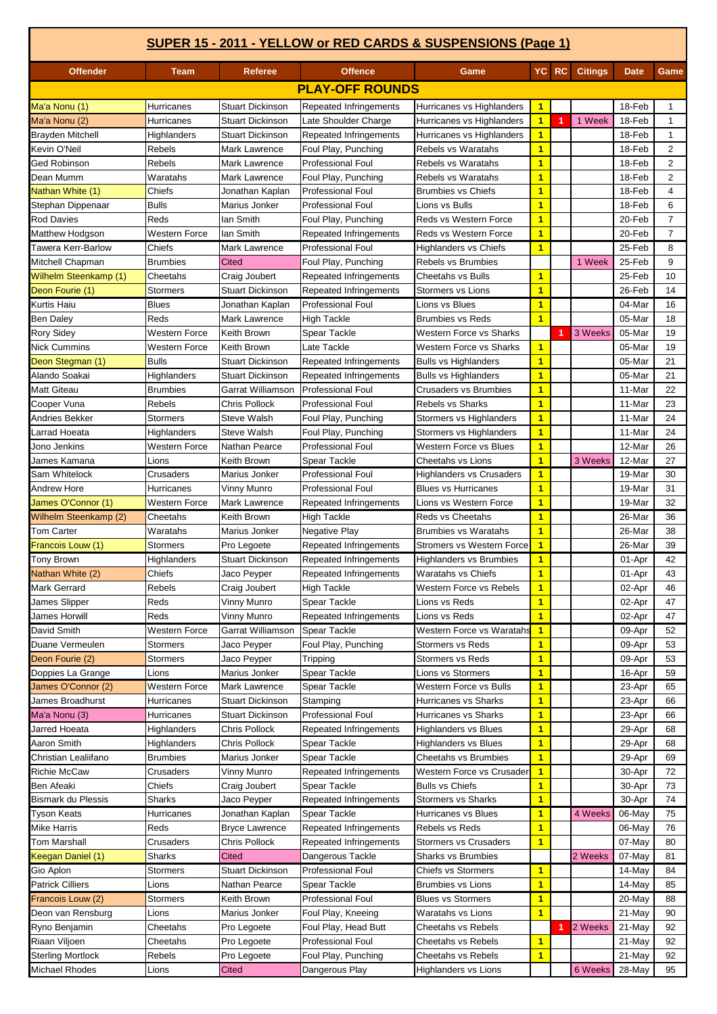|                                         |                      |                              |                                    | SUPER 15 - 2011 - YELLOW or RED CARDS & SUSPENSIONS (Page 1) |                                         |       |                |                  |                |
|-----------------------------------------|----------------------|------------------------------|------------------------------------|--------------------------------------------------------------|-----------------------------------------|-------|----------------|------------------|----------------|
| <b>Offender</b>                         | <b>Team</b>          | <b>Referee</b>               | <b>Offence</b>                     | Game                                                         |                                         | YC RC | <b>Citings</b> | <b>Date</b>      | Game           |
|                                         |                      |                              | <b>PLAY-OFF ROUNDS</b>             |                                                              |                                         |       |                |                  |                |
| Ma'a Nonu (1)                           | Hurricanes           | <b>Stuart Dickinson</b>      | Repeated Infringements             | Hurricanes vs Highlanders                                    | $\overline{1}$                          |       |                | 18-Feb           | 1              |
| Ma'a Nonu (2)                           | Hurricanes           | Stuart Dickinson             | Late Shoulder Charge               | Hurricanes vs Highlanders                                    | $\overline{\mathbf{1}}$                 |       | 1 Week         | 18-Feb           | $\mathbf{1}$   |
| Brayden Mitchell                        | Highlanders          | Stuart Dickinson             | Repeated Infringements             | Hurricanes vs Highlanders                                    | $\overline{1}$                          |       |                | 18-Feb           | $\mathbf{1}$   |
| Kevin O'Neil                            | Rebels               | Mark Lawrence                | Foul Play, Punching                | Rebels vs Waratahs                                           | $\overline{1}$                          |       |                | 18-Feb           | 2              |
| Ged Robinson                            | Rebels               | Mark Lawrence                | <b>Professional Foul</b>           | Rebels vs Waratahs                                           | $\overline{1}$                          |       |                | 18-Feb           | 2              |
| Dean Mumm                               | Waratahs             | Mark Lawrence                | Foul Play, Punching                | Rebels vs Waratahs                                           | $\overline{\mathbf{1}}$                 |       |                | 18-Feb           | 2              |
| Nathan White (1)                        | Chiefs               | Jonathan Kaplan              | <b>Professional Foul</b>           | <b>Brumbies vs Chiefs</b>                                    | $\overline{\mathbf{1}}$                 |       |                | 18-Feb           | $\overline{4}$ |
| Stephan Dippenaar                       | <b>Bulls</b>         | Marius Jonker                | <b>Professional Foul</b>           | Lions vs Bulls                                               | $\overline{1}$                          |       |                | 18-Feb           | 6              |
| <b>Rod Davies</b>                       | Reds                 | lan Smith                    | Foul Play, Punching                | Reds vs Western Force                                        | $\overline{\mathbf{1}}$                 |       |                | 20-Feb           | $\overline{7}$ |
| Matthew Hodgson                         | Western Force        | lan Smith                    | Repeated Infringements             | Reds vs Western Force                                        | $\overline{1}$                          |       |                | 20-Feb           | $\overline{7}$ |
| <b>Tawera Kerr-Barlow</b>               | Chiefs               | Mark Lawrence                | <b>Professional Foul</b>           | <b>Highlanders vs Chiefs</b>                                 | $\overline{1}$                          |       |                | 25-Feb           | 8              |
| Mitchell Chapman                        | <b>Brumbies</b>      | Cited                        | Foul Play, Punching                | <b>Rebels vs Brumbies</b>                                    |                                         |       | 1 Week         | 25-Feb           | 9              |
| <b>Wilhelm Steenkamp (1)</b>            | Cheetahs             | Craig Joubert                | Repeated Infringements             | <b>Cheetahs vs Bulls</b>                                     | $\overline{\mathbf{1}}$                 |       |                | 25-Feb           | 10             |
| Deon Fourie (1)                         | Stormers             | Stuart Dickinson             | Repeated Infringements             | Stormers vs Lions                                            | $\overline{1}$                          |       |                | 26-Feb           | 14             |
| Kurtis Haiu                             | <b>Blues</b>         | Jonathan Kaplan              | <b>Professional Foul</b>           | Lions vs Blues                                               | $\overline{\mathbf{1}}$                 |       |                | 04-Mar           | 16             |
| <b>Ben Daley</b>                        | Reds                 | Mark Lawrence                | <b>High Tackle</b>                 | <b>Brumbies vs Reds</b>                                      | $\overline{1}$                          |       |                | 05-Mar           | 18             |
| <b>Rory Sidey</b>                       | Western Force        | Keith Brown                  | Spear Tackle                       | <b>Western Force vs Sharks</b>                               |                                         | 1     | 3 Weeks        | 05-Mar           | 19             |
| <b>Nick Cummins</b>                     | Western Force        | <b>Keith Brown</b>           | Late Tackle                        | <b>Western Force vs Sharks</b>                               | $\overline{1}$                          |       |                | 05-Mar           | 19             |
| Deon Stegman (1)                        | <b>Bulls</b>         | <b>Stuart Dickinson</b>      | Repeated Infringements             | <b>Bulls vs Highlanders</b>                                  | $\overline{1}$                          |       |                | 05-Mar           | 21             |
| Alando Soakai                           | Highlanders          | <b>Stuart Dickinson</b>      | Repeated Infringements             | <b>Bulls vs Highlanders</b>                                  | $\overline{1}$                          |       |                | 05-Mar           | 21             |
| <b>Matt Giteau</b>                      | <b>Brumbies</b>      | Garrat Williamson            | <b>Professional Foul</b>           | <b>Crusaders vs Brumbies</b>                                 | $\overline{1}$                          |       |                | 11-Mar           | 22             |
| Cooper Vuna                             | Rebels               | Chris Pollock                | <b>Professional Foul</b>           | Rebels vs Sharks                                             | $\overline{1}$                          |       |                | 11-Mar           | 23             |
| Andries Bekker                          | <b>Stormers</b>      | <b>Steve Walsh</b>           | Foul Play, Punching                | Stormers vs Highlanders                                      | $\mathbf{1}$                            |       |                | 11-Mar           | 24             |
| Larrad Hoeata                           | Highlanders          | Steve Walsh                  | Foul Play, Punching                | Stormers vs Highlanders                                      | $\overline{\mathbf{1}}$                 |       |                | 11-Mar           | 24             |
| Jono Jenkins                            | Western Force        | <b>Nathan Pearce</b>         | <b>Professional Foul</b>           | <b>Western Force vs Blues</b>                                | $\overline{1}$                          |       |                | 12-Mar           | 26             |
| James Kamana                            | Lions                | Keith Brown                  | Spear Tackle                       | Cheetahs vs Lions                                            | $\overline{\mathbf{1}}$                 |       | 3 Weeks        | 12-Mar           | 27             |
| Sam Whitelock                           | Crusaders            | Marius Jonker                | <b>Professional Foul</b>           | <b>Highlanders vs Crusaders</b>                              | $\overline{1}$                          |       |                | 19-Mar           | 30             |
| <b>Andrew Hore</b>                      | Hurricanes           | Vinny Munro                  | Professional Foul                  | <b>Blues vs Hurricanes</b>                                   | $\overline{\mathbf{1}}$                 |       |                | 19-Mar           | 31             |
| James O'Connor (1)                      | Western Force        | Mark Lawrence                | Repeated Infringements             | Lions vs Western Force                                       | $\overline{\mathbf{1}}$                 |       |                | 19-Mar           | 32             |
| Wilhelm Steenkamp (2)                   | Cheetahs             | Keith Brown                  | <b>High Tackle</b>                 | Reds vs Cheetahs                                             | $\mathbf{1}$                            |       |                | 26-Mar           | 36             |
| <b>Tom Carter</b>                       | Waratahs             | Marius Jonker                | Negative Play                      | <b>Brumbies vs Waratahs</b>                                  | $\overline{1}$                          |       |                | 26-Mar           | 38             |
| Francois Louw (1)                       | Stormers             | Pro Legoete                  | Repeated Infringements             | <b>Stromers vs Western Force</b>                             | $\overline{\mathbf{1}}$                 |       |                | 26-Mar           | 39             |
| <b>Tony Brown</b>                       | Highlanders          | <b>Stuart Dickinson</b>      | <b>Repeated Infringements</b>      | <b>Highlanders vs Brumbies</b>                               | $\overline{1}$                          |       |                | 01-Apr           | 42             |
| Nathan White (2)<br><b>Mark Gerrard</b> | Chiefs               | Jaco Peyper                  | <b>Repeated Infringements</b>      | Waratahs vs Chiefs<br>Western Force vs Rebels                | $\mathbf{1}$<br>$\overline{\mathbf{1}}$ |       |                | 01-Apr           | 43<br>46       |
| James Slipper                           | Rebels<br>Reds       | Craig Joubert<br>Vinny Munro | <b>High Tackle</b><br>Spear Tackle | Lions vs Reds                                                | 1                                       |       |                | 02-Apr<br>02-Apr | 47             |
| James Horwill                           | Reds                 | Vinny Munro                  | Repeated Infringements             | Lions vs Reds                                                | $\overline{1}$                          |       |                | 02-Apr           | 47             |
| David Smith                             | <b>Western Force</b> | Garrat Williamson            | <b>Spear Tackle</b>                | Western Force vs Waratahs                                    | $\blacktriangleleft$                    |       |                | 09-Apr           | 52             |
| Duane Vermeulen                         | Stormers             | Jaco Peyper                  | Foul Play, Punching                | <b>Stormers vs Reds</b>                                      | $\overline{1}$                          |       |                | 09-Apr           | 53             |
| Deon Fourie (2)                         | Stormers             | Jaco Peyper                  | Tripping                           | <b>Stormers vs Reds</b>                                      | $\overline{\mathbf{1}}$                 |       |                | 09-Apr           | 53             |
| Doppies La Grange                       | Lions                | Marius Jonker                | Spear Tackle                       | Lions vs Stormers                                            | $\mathbf{1}$                            |       |                | 16-Apr           | 59             |
| James O'Connor (2)                      | Western Force        | Mark Lawrence                | Spear Tackle                       | Western Force vs Bulls                                       | $\overline{1}$                          |       |                | 23-Apr           | 65             |
| James Broadhurst                        | Hurricanes           | <b>Stuart Dickinson</b>      | Stamping                           | Hurricanes vs Sharks                                         | $\overline{1}$                          |       |                | 23-Apr           | 66             |
| Ma'a Nonu (3)                           | Hurricanes           | <b>Stuart Dickinson</b>      | <b>Professional Foul</b>           | Hurricanes vs Sharks                                         | $\mathbf{1}$                            |       |                | 23-Apr           | 66             |
| Jarred Hoeata                           | Highlanders          | Chris Pollock                | Repeated Infringements             | <b>Highlanders vs Blues</b>                                  | $\mathbf{1}$                            |       |                | 29-Apr           | 68             |
| Aaron Smith                             | Highlanders          | Chris Pollock                | Spear Tackle                       | <b>Highlanders vs Blues</b>                                  | $\mathbf{1}$                            |       |                | 29-Apr           | 68             |
| Christian Lealiifano                    | <b>Brumbies</b>      | Marius Jonker                | Spear Tackle                       | Cheetahs vs Brumbies                                         | $\mathbf{1}$                            |       |                | 29-Apr           | 69             |
| <b>Richie McCaw</b>                     | Crusaders            | Vinny Munro                  | Repeated Infringements             | Western Force vs Crusaders                                   | $\blacktriangleleft$                    |       |                | 30-Apr           | 72             |
| Ben Afeaki                              | Chiefs               | Craig Joubert                | Spear Tackle                       | <b>Bulls vs Chiefs</b>                                       | $\mathbf{1}$                            |       |                | 30-Apr           | 73             |
| <b>Bismark du Plessis</b>               | Sharks               | Jaco Peyper                  | Repeated Infringements             | <b>Stormers vs Sharks</b>                                    | $\mathbf{1}$                            |       |                | 30-Apr           | 74             |
| Tyson Keats                             | Hurricanes           | Jonathan Kaplan              | Spear Tackle                       | Hurricanes vs Blues                                          | $\mathbf{1}$                            |       | 4 Weeks        | 06-May           | 75             |
| Mike Harris                             | Reds                 | <b>Bryce Lawrence</b>        | Repeated Infringements             | Rebels vs Reds                                               | $\overline{1}$                          |       |                | 06-May           | 76             |
| Tom Marshall                            | Crusaders            | Chris Pollock                | Repeated Infringements             | <b>Stormers vs Crusaders</b>                                 | 1                                       |       |                | 07-May           | 80             |
| Keegan Daniel (1)                       | Sharks               | Cited                        | Dangerous Tackle                   | <b>Sharks vs Brumbies</b>                                    |                                         |       | 2 Weeks        | 07-May           | 81             |
| Gio Aplon                               | Stormers             | Stuart Dickinson             | <b>Professional Foul</b>           | <b>Chiefs vs Stormers</b>                                    | $\mathbf{1}$                            |       |                | 14-May           | 84             |
| <b>Patrick Cilliers</b>                 | Lions                | Nathan Pearce                | Spear Tackle                       | <b>Brumbies vs Lions</b>                                     | $\overline{1}$                          |       |                | 14-May           | 85             |
| Francois Louw (2)                       | Stormers             | Keith Brown                  | <b>Professional Foul</b>           | <b>Blues vs Stormers</b>                                     | $\overline{\mathbf{1}}$                 |       |                | 20-May           | 88             |
| Deon van Rensburg                       | Lions                | Marius Jonker                | Foul Play, Kneeing                 | Waratahs vs Lions                                            | $\overline{1}$                          |       |                | 21-May           | 90             |
| Ryno Benjamin                           | Cheetahs             | Pro Legoete                  | Foul Play, Head Butt               | Cheetahs vs Rebels                                           |                                         | 1     | 2 Weeks        | 21-May           | 92             |
| Riaan Viljoen                           | Cheetahs             | Pro Legoete                  | <b>Professional Foul</b>           | Cheetahs vs Rebels                                           | $\mathbf{1}$                            |       |                | 21-May           | 92             |
| <b>Sterling Mortlock</b>                | Rebels               | Pro Legoete                  | Foul Play, Punching                | Cheetahs vs Rebels                                           | $\overline{\mathbf{1}}$                 |       |                | 21-May           | 92             |
| Michael Rhodes                          | Lions                | Cited                        | Dangerous Play                     | <b>Highlanders vs Lions</b>                                  |                                         |       | 6 Weeks 28-May |                  | 95             |